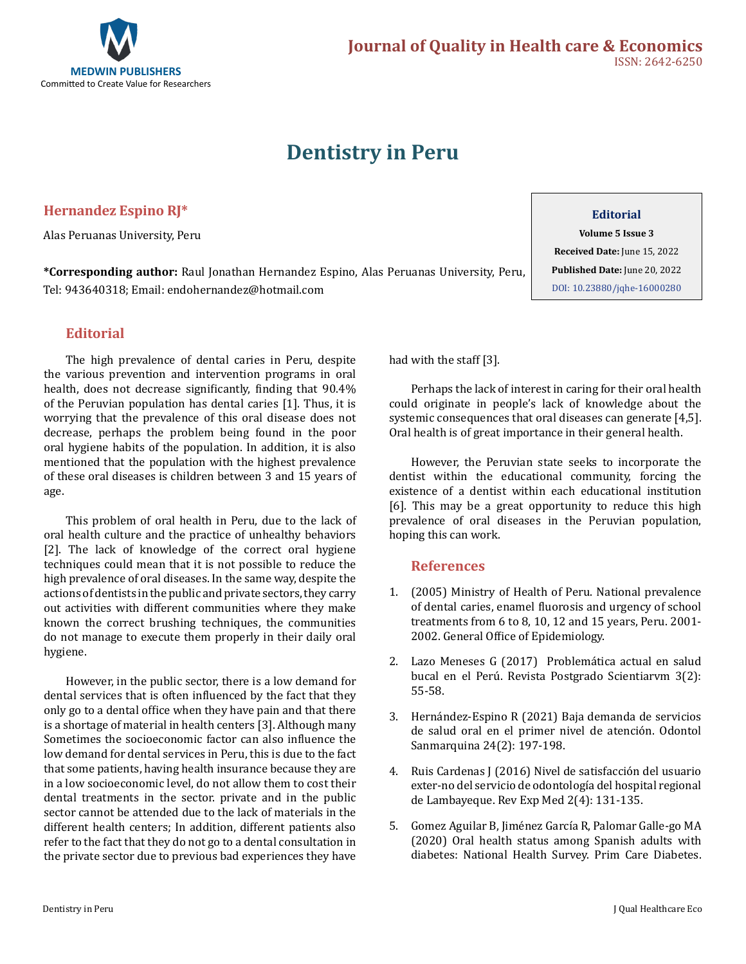

# **Dentistry in Peru**

## **Hernandez Espino RJ\***

Alas Peruanas University, Peru

**\*Corresponding author:** Raul Jonathan Hernandez Espino, Alas Peruanas University, Peru, Tel: 943640318; Email: endohernandez@hotmail.com

### **Editorial**

The high prevalence of dental caries in Peru, despite the various prevention and intervention programs in oral health, does not decrease significantly, finding that 90.4% of the Peruvian population has dental caries [1]. Thus, it is worrying that the prevalence of this oral disease does not decrease, perhaps the problem being found in the poor oral hygiene habits of the population. In addition, it is also mentioned that the population with the highest prevalence of these oral diseases is children between 3 and 15 years of age.

This problem of oral health in Peru, due to the lack of oral health culture and the practice of unhealthy behaviors [2]. The lack of knowledge of the correct oral hygiene techniques could mean that it is not possible to reduce the high prevalence of oral diseases. In the same way, despite the actions of dentists in the public and private sectors, they carry out activities with different communities where they make known the correct brushing techniques, the communities do not manage to execute them properly in their daily oral hygiene.

However, in the public sector, there is a low demand for dental services that is often influenced by the fact that they only go to a dental office when they have pain and that there is a shortage of material in health centers [3]. Although many Sometimes the socioeconomic factor can also influence the low demand for dental services in Peru, this is due to the fact that some patients, having health insurance because they are in a low socioeconomic level, do not allow them to cost their dental treatments in the sector. private and in the public sector cannot be attended due to the lack of materials in the different health centers; In addition, different patients also refer to the fact that they do not go to a dental consultation in the private sector due to previous bad experiences they have

## **Editorial**

**Volume 5 Issue 3 Received Date:** June 15, 2022 **Published Date:** June 20, 2022 [DOI: 10.23880/jqhe-16000280](https://doi.org/10.23880/jqhe-16000280)

had with the staff [3].

Perhaps the lack of interest in caring for their oral health could originate in people's lack of knowledge about the systemic consequences that oral diseases can generate [4,5]. Oral health is of great importance in their general health.

However, the Peruvian state seeks to incorporate the dentist within the educational community, forcing the existence of a dentist within each educational institution [6]. This may be a great opportunity to reduce this high prevalence of oral diseases in the Peruvian population, hoping this can work.

#### **References**

- 1. (2005) Ministry of Health of Peru. National prevalence of dental caries, enamel fluorosis and urgency of school treatments from 6 to 8, 10, 12 and 15 years, Peru. 2001- 2002. General Office of Epidemiology.
- 2. [Lazo Meneses G \(2017\) Problemática actual en salud](http://scientiarvm.org/cache/archivos/PDF_863204751.pdf)  [bucal en el Perú. Revista Postgrado Scientiarvm 3\(2\):](http://scientiarvm.org/cache/archivos/PDF_863204751.pdf) [55-58.](http://scientiarvm.org/cache/archivos/PDF_863204751.pdf)
- 3. [Hernández-Espino R \(2021\) Baja demanda de servicios](https://revistasinvestigacion.unmsm.edu.pe/index.php/odont/article/view/19910) [de salud oral en el primer nivel de atención. Odontol](https://revistasinvestigacion.unmsm.edu.pe/index.php/odont/article/view/19910)  [Sanmarquina 24\(2\): 197-198.](https://revistasinvestigacion.unmsm.edu.pe/index.php/odont/article/view/19910)
- 4. [Ruis Cardenas J \(2016\) Nivel de satisfacción del usuario](http://www.rem.hrlamb.gob.pe/index.php/REM/article/view/68) [exter-no del servicio de odontología del hospital regional](http://www.rem.hrlamb.gob.pe/index.php/REM/article/view/68)  [de Lambayeque. Rev Exp Med 2\(4\): 131-135.](http://www.rem.hrlamb.gob.pe/index.php/REM/article/view/68)
- 5. [Gomez Aguilar B, Jiménez García R, Palomar Galle-go MA](https://pubmed.ncbi.nlm.nih.gov/32057726/)  [\(2020\) Oral health status among Spanish adults with](https://pubmed.ncbi.nlm.nih.gov/32057726/)  [diabetes: National Health Survey. Prim Care Diabetes.](https://pubmed.ncbi.nlm.nih.gov/32057726/)